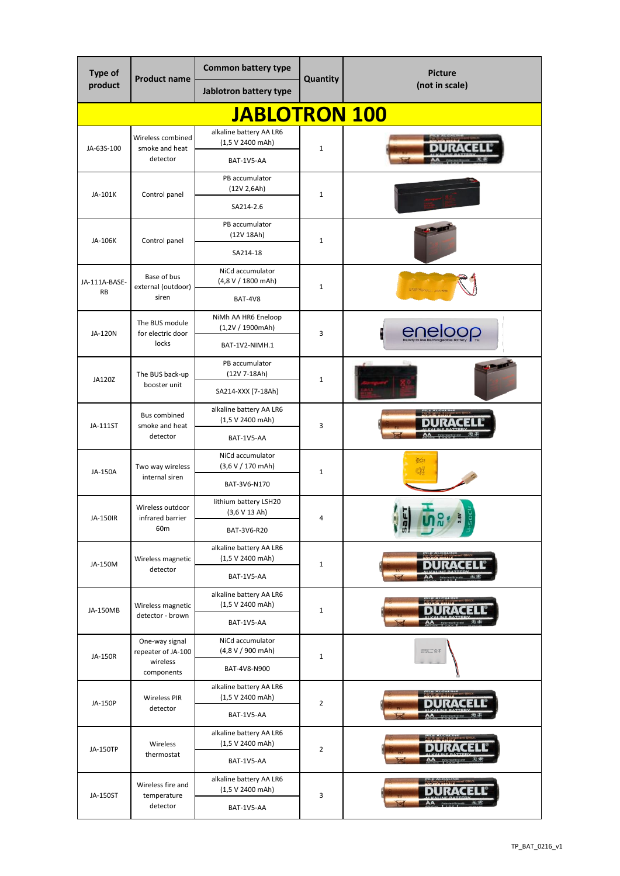| Type of<br>product         | <b>Product name</b>                          | <b>Common battery type</b>                                | Quantity       | <b>Picture</b>                                                                                                                            |
|----------------------------|----------------------------------------------|-----------------------------------------------------------|----------------|-------------------------------------------------------------------------------------------------------------------------------------------|
|                            |                                              | Jablotron battery type                                    |                | (not in scale)                                                                                                                            |
|                            |                                              | <b>JABLOTRON 100</b>                                      |                |                                                                                                                                           |
| JA-63S-100                 | Wireless combined<br>smoke and heat          | alkaline battery AA LR6<br>(1,5 V 2400 mAh)               | $\mathbf{1}$   |                                                                                                                                           |
|                            | detector                                     | BAT-1V5-AA                                                |                |                                                                                                                                           |
| JA-101K                    | Control panel                                | PB accumulator<br>(12V 2,6Ah)<br>SA214-2.6                | $\mathbf{1}$   |                                                                                                                                           |
| JA-106K                    | Control panel                                | PB accumulator<br>(12V 18Ah)                              | $\mathbf{1}$   |                                                                                                                                           |
|                            |                                              | SA214-18                                                  |                |                                                                                                                                           |
| JA-111A-BASE-<br><b>RB</b> | Base of bus<br>external (outdoor)            | NiCd accumulator<br>(4,8 V / 1800 mAh)                    | $\mathbf{1}$   |                                                                                                                                           |
|                            | siren                                        | BAT-4V8<br>NiMh AA HR6 Eneloop                            |                |                                                                                                                                           |
| JA-120N                    | The BUS module<br>for electric door<br>locks | $(1,2V / 1900$ mAh)<br>BAT-1V2-NIMH.1                     | 3              | eneloop                                                                                                                                   |
|                            | The BUS back-up                              | PB accumulator<br>(12V 7-18Ah)                            |                |                                                                                                                                           |
| JA120Z                     | booster unit                                 | SA214-XXX (7-18Ah)                                        | $\mathbf{1}$   |                                                                                                                                           |
| JA-111ST                   | <b>Bus combined</b><br>smoke and heat        | alkaline battery AA LR6<br>(1,5 V 2400 mAh)               | 3              |                                                                                                                                           |
|                            | detector                                     | BAT-1V5-AA                                                |                |                                                                                                                                           |
| JA-150A                    | Two way wireless<br>internal siren           | NiCd accumulator<br>(3,6 V / 170 mAh)                     | $\mathbf{1}$   | <b>OSCIE</b><br>M                                                                                                                         |
|                            |                                              | BAT-3V6-N170                                              |                |                                                                                                                                           |
| JA-150IR                   | Wireless outdoor<br>infrared barrier         | lithium battery LSH20<br>(3,6 V 13 Ah)                    | 4              |                                                                                                                                           |
|                            | 60 <sub>m</sub>                              | BAT-3V6-R20<br>alkaline battery AA LR6                    |                |                                                                                                                                           |
| JA-150M                    | Wireless magnetic<br>detector                | (1,5 V 2400 mAh)<br>BAT-1V5-AA                            | $\mathbf{1}$   |                                                                                                                                           |
|                            |                                              | alkaline battery AA LR6                                   |                |                                                                                                                                           |
| JA-150MB                   | Wireless magnetic<br>detector - brown        | (1,5 V 2400 mAh)<br>BAT-1V5-AA                            | $\mathbf{1}$   |                                                                                                                                           |
| JA-150R                    | One-way signal<br>repeater of JA-100         | NiCd accumulator<br>(4,8 V / 900 mAh)                     | $\mathbf{1}$   | $\frac{\text{coeffs}(\mathbb{C})^n}{\text{Diffs}(\mathbb{C})^n\text{Hom}(\mathbb{C})^n}\bigoplus_{\mathcal{O}\in\mathcal{O}}\overline{Q}$ |
|                            | wireless<br>components                       | BAT-4V8-N900                                              |                |                                                                                                                                           |
| JA-150P                    | <b>Wireless PIR</b><br>detector              | alkaline battery AA LR6<br>(1,5 V 2400 mAh)               | $\overline{2}$ |                                                                                                                                           |
|                            |                                              | BAT-1V5-AA                                                |                |                                                                                                                                           |
| JA-150TP                   | Wireless<br>thermostat                       | alkaline battery AA LR6<br>(1,5 V 2400 mAh)               | $\overline{2}$ |                                                                                                                                           |
|                            |                                              | BAT-1V5-AA                                                |                |                                                                                                                                           |
| JA-150ST                   | Wireless fire and<br>temperature<br>detector | alkaline battery AA LR6<br>(1,5 V 2400 mAh)<br>BAT-1V5-AA | 3              |                                                                                                                                           |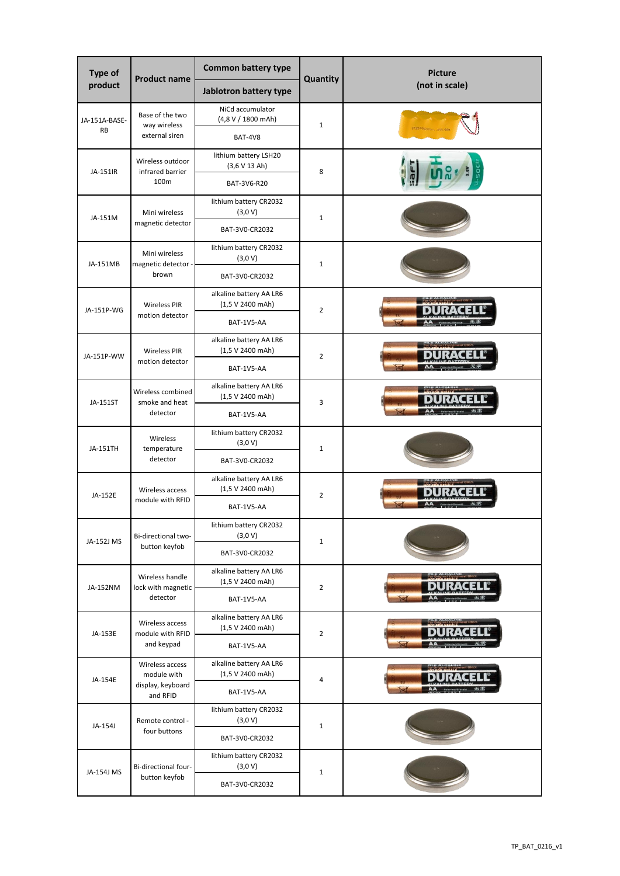| <b>Type of</b><br>product | <b>Product name</b>                    | <b>Common battery type</b>                  | Quantity       | <b>Picture</b><br>(not in scale) |
|---------------------------|----------------------------------------|---------------------------------------------|----------------|----------------------------------|
|                           |                                        | Jablotron battery type                      |                |                                  |
| JA-151A-BASE-             | Base of the two                        | NiCd accumulator<br>(4,8 V / 1800 mAh)      |                |                                  |
| <b>RB</b>                 | way wireless<br>external siren         | BAT-4V8                                     | $\mathbf{1}$   |                                  |
|                           | Wireless outdoor                       | lithium battery LSH20                       |                |                                  |
| JA-151IR                  | infrared barrier                       | (3,6 V 13 Ah)                               | 8              |                                  |
|                           | 100m                                   | BAT-3V6-R20                                 |                |                                  |
|                           | Mini wireless                          | lithium battery CR2032<br>(3,0 V)           |                |                                  |
| JA-151M                   | magnetic detector                      | BAT-3V0-CR2032                              | $\mathbf{1}$   |                                  |
|                           |                                        |                                             |                |                                  |
|                           | Mini wireless                          | lithium battery CR2032<br>(3,0 V)           |                |                                  |
| JA-151MB                  | magnetic detector -<br>brown           | BAT-3V0-CR2032                              | $\mathbf{1}$   |                                  |
|                           |                                        | alkaline battery AA LR6                     |                |                                  |
| JA-151P-WG                | <b>Wireless PIR</b><br>motion detector | (1,5 V 2400 mAh)                            | $\overline{2}$ |                                  |
|                           |                                        | BAT-1V5-AA                                  |                |                                  |
|                           | <b>Wireless PIR</b>                    | alkaline battery AA LR6<br>(1,5 V 2400 mAh) |                |                                  |
| JA-151P-WW                | motion detector                        | BAT-1V5-AA                                  | $\overline{2}$ |                                  |
|                           | Wireless combined                      | alkaline battery AA LR6                     | 3              |                                  |
| JA-151ST                  | smoke and heat<br>detector             | (1,5 V 2400 mAh)                            |                |                                  |
|                           |                                        | BAT-1V5-AA                                  |                |                                  |
|                           | Wireless                               | lithium battery CR2032<br>(3,0 V)           | $\mathbf{1}$   |                                  |
| JA-151TH                  | temperature<br>detector                | BAT-3V0-CR2032                              |                |                                  |
|                           |                                        |                                             |                |                                  |
| JA-152E                   | Wireless access                        | alkaline battery AA LR6<br>(1,5 V 2400 mAh) | $\overline{2}$ |                                  |
|                           | module with RFID                       | BAT-1V5-AA                                  |                |                                  |
|                           |                                        | lithium battery CR2032                      |                |                                  |
| JA-152J MS                | Bi-directional two-<br>button keyfob   | (3,0 V)                                     | $\mathbf 1$    |                                  |
|                           |                                        | BAT-3V0-CR2032                              |                |                                  |
|                           | Wireless handle                        | alkaline battery AA LR6<br>(1,5 V 2400 mAh) |                |                                  |
| JA-152NM                  | lock with magnetic<br>detector         | BAT-1V5-AA                                  | $\overline{2}$ |                                  |
|                           | Wireless access                        | alkaline battery AA LR6                     |                |                                  |
| JA-153E                   | module with RFID                       | (1,5 V 2400 mAh)                            | $\overline{2}$ |                                  |
|                           | and keypad                             | BAT-1V5-AA                                  |                |                                  |
|                           | Wireless access<br>module with         | alkaline battery AA LR6<br>(1,5 V 2400 mAh) |                |                                  |
| JA-154E                   | display, keyboard                      |                                             | $\overline{4}$ |                                  |
|                           | and RFID                               | BAT-1V5-AA                                  |                |                                  |
| JA-154J                   | Remote control -                       | lithium battery CR2032<br>(3,0 V)           |                |                                  |
|                           | four buttons                           | BAT-3V0-CR2032                              | $\mathbf 1$    |                                  |
|                           |                                        | lithium battery CR2032                      |                |                                  |
| JA-154J MS                | Bi-directional four-<br>button keyfob  | (3,0 V)                                     | $\mathbf 1$    |                                  |
|                           |                                        | BAT-3V0-CR2032                              |                |                                  |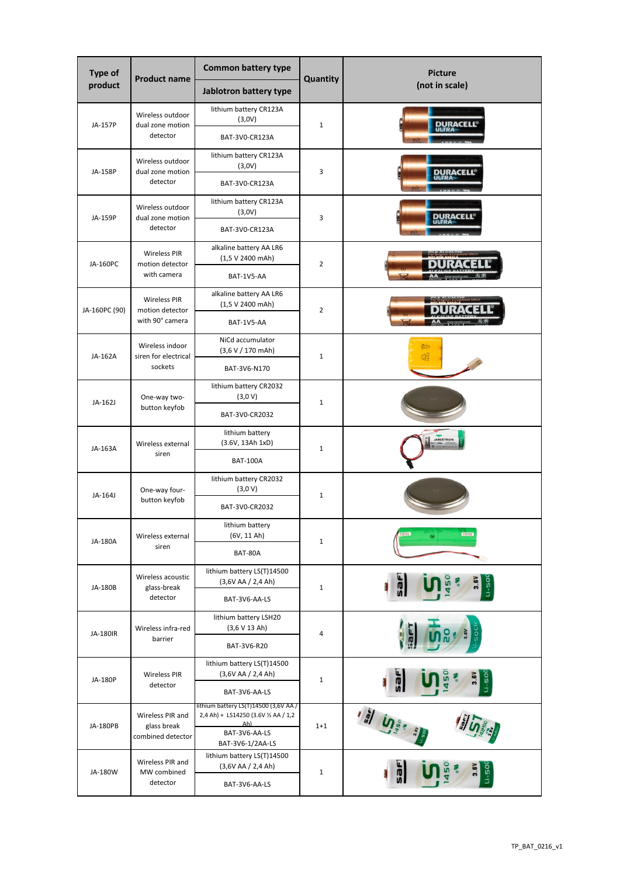| <b>Type of</b> | <b>Product name</b>                  | <b>Common battery type</b>                                                    | Quantity       | <b>Picture</b><br>(not in scale) |
|----------------|--------------------------------------|-------------------------------------------------------------------------------|----------------|----------------------------------|
| product        |                                      | Jablotron battery type                                                        |                |                                  |
| JA-157P        | Wireless outdoor<br>dual zone motion | lithium battery CR123A<br>(3,0V)                                              | $\mathbf{1}$   | <b>DURACELL<sup>®</sup></b>      |
|                | detector                             | BAT-3V0-CR123A                                                                |                |                                  |
| JA-158P        | Wireless outdoor<br>dual zone motion | lithium battery CR123A<br>(3,0V)                                              | 3              |                                  |
|                | detector                             | BAT-3V0-CR123A                                                                |                | <b>DURACELL<sup>®</sup></b>      |
|                | Wireless outdoor                     | lithium battery CR123A<br>(3,0V)                                              |                | DURACELL®                        |
| JA-159P        | dual zone motion<br>detector         | BAT-3V0-CR123A                                                                | 3              |                                  |
|                | <b>Wireless PIR</b>                  | alkaline battery AA LR6<br>(1,5 V 2400 mAh)                                   |                |                                  |
| JA-160PC       | motion detector<br>with camera       | BAT-1V5-AA                                                                    | $\overline{2}$ |                                  |
|                | <b>Wireless PIR</b>                  | alkaline battery AA LR6<br>(1,5 V 2400 mAh)                                   |                |                                  |
| JA-160PC (90)  | motion detector<br>with 90° camera   | BAT-1V5-AA                                                                    | $\overline{2}$ |                                  |
|                | Wireless indoor                      | NiCd accumulator<br>(3,6 V / 170 mAh)                                         |                | <b>CESS</b>                      |
| JA-162A        | siren for electrical<br>sockets      | BAT-3V6-N170                                                                  | $\mathbf{1}$   | Œ                                |
|                |                                      | lithium battery CR2032<br>(3,0 V)                                             | $\mathbf{1}$   |                                  |
| JA-162J        | One-way two-<br>button keyfob        | BAT-3V0-CR2032                                                                |                |                                  |
|                | Wireless external                    | lithium battery<br>(3.6V, 13Ah 1xD)                                           | $\mathbf{1}$   | JABLOTRON                        |
| JA-163A        | siren                                | <b>BAT-100A</b>                                                               |                |                                  |
|                | One-way four-                        | lithium battery CR2032<br>(3,0 V)                                             | $\mathbf{1}$   |                                  |
| JA-164J        | button keyfob                        | BAT-3V0-CR2032                                                                |                |                                  |
|                | Wireless external                    | lithium battery<br>(6V, 11 Ah)                                                |                | ൘                                |
| JA-180A        | siren                                | BAT-80A                                                                       | $\mathbf{1}$   |                                  |
|                | Wireless acoustic                    | lithium battery LS(T)14500<br>(3,6VAA / 2,4Ah)                                |                | $-1 - 50$                        |
| JA-180B        | glass-break<br>detector              | BAT-3V6-AA-LS                                                                 | $1\,$          |                                  |
|                | Wireless infra-red                   | lithium battery LSH20<br>(3,6 V 13 Ah)                                        |                |                                  |
| JA-180IR       | barrier                              | BAT-3V6-R20                                                                   | 4              |                                  |
|                |                                      | lithium battery LS(T)14500                                                    |                |                                  |
| JA-180P        | Wireless PIR<br>detector             | (3,6VAA / 2,4Ah)<br>BAT-3V6-AA-LS                                             | $\mathbf{1}$   | $-50$                            |
|                | Wireless PIR and                     | lithium battery LS(T)14500 (3,6V AA /<br>2,4 Ah) + LS14250 (3.6V 1/2 AA / 1,2 | $1 + 1$        | <b>" וֹ</b> ה                    |
| JA-180PB       | glass break<br>combined detector     | Ah)<br>BAT-3V6-AA-LS<br>BAT-3V6-1/2AA-LS                                      |                |                                  |
|                | Wireless PIR and                     | lithium battery LS(T)14500<br>(3,6VAA / 2,4Ah)                                |                |                                  |
| JA-180W        | MW combined<br>detector              | BAT-3V6-AA-LS                                                                 | $\mathbf 1$    |                                  |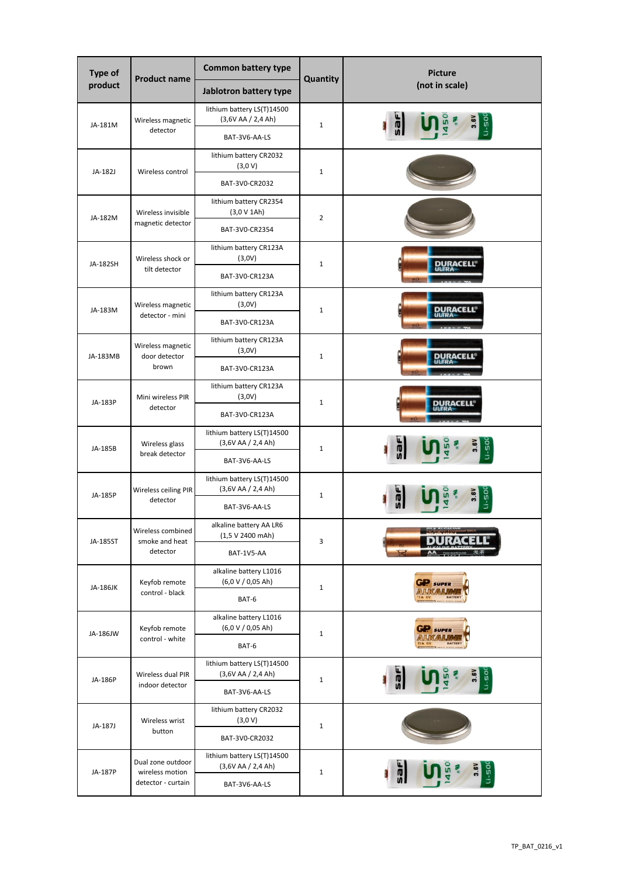| Type of  | <b>Product name</b>                   | <b>Common battery type</b>                             | Quantity       | <b>Picture</b>   |
|----------|---------------------------------------|--------------------------------------------------------|----------------|------------------|
| product  |                                       | Jablotron battery type                                 |                | (not in scale)   |
|          | Wireless magnetic                     | lithium battery LS(T)14500<br>(3,6VAA / 2,4Ah)         |                |                  |
| JA-181M  | detector                              | BAT-3V6-AA-LS                                          | $\mathbf{1}$   |                  |
|          |                                       | lithium battery CR2032                                 |                |                  |
| JA-182J  | Wireless control                      | (3,0 V)<br>BAT-3V0-CR2032                              | $\mathbf{1}$   |                  |
|          |                                       | lithium battery CR2354                                 |                |                  |
| JA-182M  | Wireless invisible                    | (3,0 V 1Ah)                                            | $\overline{2}$ |                  |
|          | magnetic detector                     | BAT-3V0-CR2354                                         |                |                  |
|          | Wireless shock or                     | lithium battery CR123A<br>(3,0V)                       |                |                  |
| JA-182SH | tilt detector                         | BAT-3V0-CR123A                                         | $\mathbf 1$    | DURACELL         |
|          |                                       | lithium battery CR123A                                 |                |                  |
| JA-183M  | Wireless magnetic<br>detector - mini  | (3,0V)                                                 | $\mathbf{1}$   | <b>DURACELL®</b> |
|          |                                       | BAT-3V0-CR123A                                         |                |                  |
|          | Wireless magnetic                     | lithium battery CR123A<br>(3,0V)                       |                |                  |
| JA-183MB | door detector<br>brown                | BAT-3V0-CR123A                                         | $\mathbf{1}$   | <u>DURACELL</u>  |
|          |                                       | lithium battery CR123A                                 | $\mathbf{1}$   |                  |
| JA-183P  | Mini wireless PIR<br>detector         | (3,0V)                                                 |                | <b>DURACELL®</b> |
|          |                                       | BAT-3V0-CR123A                                         |                |                  |
|          | Wireless glass                        | lithium battery LS(T)14500<br>(3,6V AA / 2,4 Ah)       | $\mathbf{1}$   |                  |
| JA-185B  | break detector                        | BAT-3V6-AA-LS                                          |                |                  |
|          |                                       | lithium battery LS(T)14500<br>(3,6VAA / 2,4Ah)         | $1\,$          |                  |
| JA-185P  | Wireless ceiling PIR<br>detector      | BAT-3V6-AA-LS                                          |                |                  |
|          | Wireless combined                     | alkaline battery AA LR6                                |                |                  |
| JA-185ST | smoke and heat                        | (1,5 V 2400 mAh)                                       | 3              |                  |
|          | detector                              | BAT-1V5-AA                                             |                |                  |
| JA-186JK | Keyfob remote                         | alkaline battery L1016<br>$(6,0 \vee 0,05 \text{ Ah})$ | $\mathbf 1$    | <b>GIP</b> SUPER |
|          | control - black                       | BAT-6                                                  |                |                  |
|          | Keyfob remote                         | alkaline battery L1016<br>$(6,0 \vee 0,05 \text{ Ah})$ |                | <b>P</b> SUPER   |
| JA-186JW | control - white                       | BAT-6                                                  | $\mathbf 1$    |                  |
|          |                                       | lithium battery LS(T)14500                             |                |                  |
| JA-186P  | Wireless dual PIR<br>indoor detector  | (3,6VAA / 2,4Ah)                                       | $1\,$          |                  |
|          |                                       | BAT-3V6-AA-LS                                          |                |                  |
| JA-187J  | Wireless wrist                        | lithium battery CR2032<br>(3,0 V)                      | $\mathbf 1$    |                  |
|          | button                                | BAT-3V0-CR2032                                         |                |                  |
|          | Dual zone outdoor                     | lithium battery LS(T)14500                             |                |                  |
| JA-187P  | wireless motion<br>detector - curtain | (3,6VAA / 2,4Ah)<br>BAT-3V6-AA-LS                      | $\mathbf 1$    | 3.6V<br>$U - 50$ |
|          |                                       |                                                        |                |                  |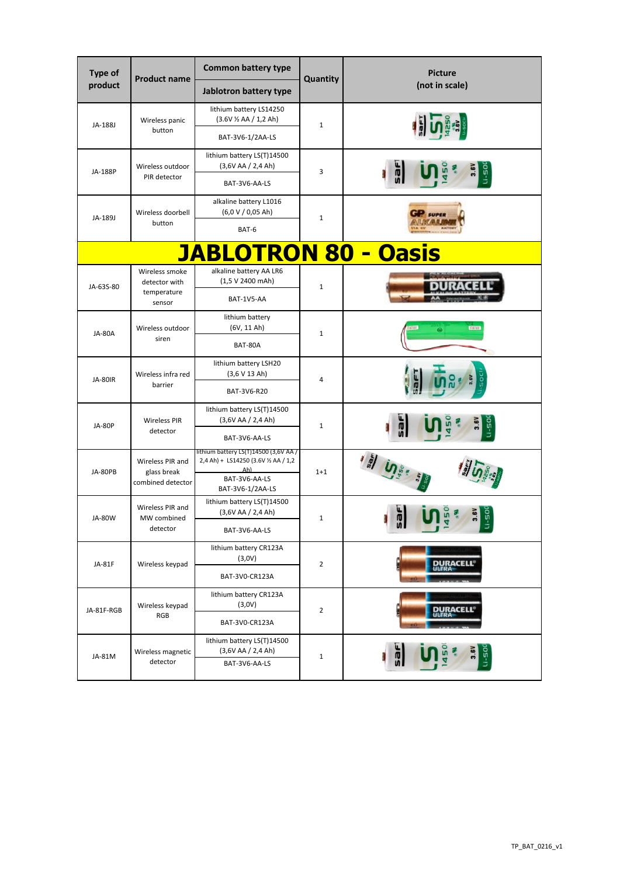| <b>Type of</b><br>product | <b>Product name</b>              | <b>Common battery type</b><br>Jablotron battery type                          | Quantity       | <b>Picture</b><br>(not in scale) |
|---------------------------|----------------------------------|-------------------------------------------------------------------------------|----------------|----------------------------------|
|                           |                                  | lithium battery LS14250                                                       |                |                                  |
| JA-188J                   | Wireless panic                   | $(3.6V \times AA / 1, 2 Ah)$                                                  | $\mathbf{1}$   |                                  |
|                           | button                           | BAT-3V6-1/2AA-LS                                                              |                |                                  |
|                           | Wireless outdoor                 | lithium battery LS(T)14500<br>(3,6VAA / 2,4Ah)                                |                |                                  |
| JA-188P                   | PIR detector                     | BAT-3V6-AA-LS                                                                 | 3              | $-50$                            |
|                           |                                  | alkaline battery L1016                                                        |                |                                  |
| JA-189J                   | Wireless doorbell<br>button      | $(6,0 \vee 0,05 \text{ Ah})$                                                  | $\mathbf{1}$   | <b>SUPER</b>                     |
|                           |                                  | BAT-6                                                                         |                |                                  |
|                           |                                  | <b>JABLOTRON 80 - Oasis</b>                                                   |                |                                  |
|                           | Wireless smoke<br>detector with  | alkaline battery AA LR6<br>(1,5 V 2400 mAh)                                   |                |                                  |
| JA-63S-80                 | temperature<br>sensor            | BAT-1V5-AA                                                                    | $\mathbf{1}$   |                                  |
|                           |                                  | lithium battery                                                               |                |                                  |
| <b>JA-80A</b>             | Wireless outdoor<br>siren        | (6V, 11 Ah)                                                                   | $\mathbf{1}$   | $\circledast$                    |
|                           |                                  | BAT-80A                                                                       |                |                                  |
| <b>JA-80IR</b>            | Wireless infra red<br>barrier    | lithium battery LSH20<br>(3,6 V 13 Ah)                                        | 4              | ទី                               |
|                           |                                  | BAT-3V6-R20                                                                   |                |                                  |
|                           | <b>Wireless PIR</b><br>detector  | lithium battery LS(T)14500<br>(3,6VAA / 2,4Ah)                                | $\mathbf{1}$   |                                  |
| <b>JA-80P</b>             |                                  | BAT-3V6-AA-LS                                                                 |                | $U - 50$<br>Ŵ                    |
|                           | Wireless PIR and                 | lithium battery LS(T)14500 (3,6V AA /<br>2,4 Ah) + LS14250 (3.6V 1/2 AA / 1,2 | $1 + 1$        |                                  |
| JA-80PB                   | glass break<br>combined detector | Ah)<br>BAT-3V6-AA-LS                                                          |                |                                  |
|                           |                                  | BAT-3V6-1/2AA-LS                                                              |                |                                  |
| <b>JA-80W</b>             | Wireless PIR and<br>MW combined  | lithium battery LS(T)14500<br>(3,6VAA / 2,4Ah)                                | $\mathbf{1}$   | GO<br>æ                          |
|                           | detector                         | BAT-3V6-AA-LS                                                                 |                | uΠ<br>$\vert \exists \vert$      |
|                           |                                  | lithium battery CR123A<br>(3,0V)                                              |                |                                  |
| JA-81F                    | Wireless keypad                  | BAT-3V0-CR123A                                                                | $\overline{2}$ | <b>DURACELL®</b>                 |
|                           |                                  | lithium battery CR123A                                                        | $\overline{2}$ |                                  |
| JA-81F-RGB                | Wireless keypad<br>RGB           | (3,0V)                                                                        |                | <b>DURACELL<sup>®</sup></b>      |
|                           |                                  | BAT-3V0-CR123A                                                                |                |                                  |
| JA-81M                    | Wireless magnetic                | lithium battery LS(T)14500<br>(3,6VAA / 2,4Ah)                                | $\mathbf 1$    | 3.6V<br>$U - 500$                |
|                           | detector                         | BAT-3V6-AA-LS                                                                 |                |                                  |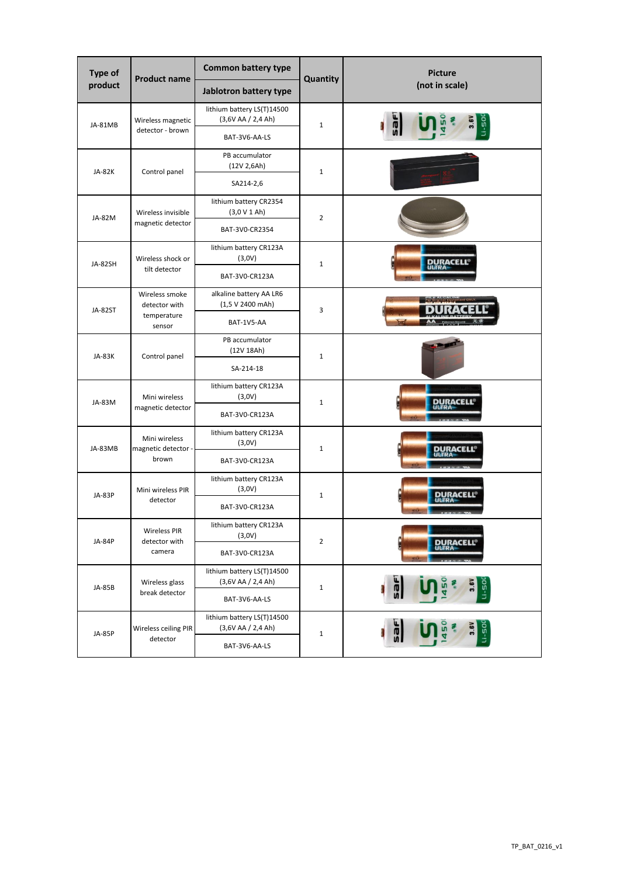| Type of       | <b>Product name</b>                  | <b>Common battery type</b>                     | Quantity       | <b>Picture</b>                      |
|---------------|--------------------------------------|------------------------------------------------|----------------|-------------------------------------|
| product       |                                      | Jablotron battery type                         |                | (not in scale)                      |
| JA-81MB       | Wireless magnetic                    | lithium battery LS(T)14500<br>(3,6VAA / 2,4Ah) | $\mathbf{1}$   |                                     |
|               | detector - brown                     | BAT-3V6-AA-LS                                  |                | $05 - 11$                           |
| <b>JA-82K</b> | Control panel                        | PB accumulator<br>(12V 2,6Ah)                  | $\mathbf{1}$   |                                     |
|               |                                      | SA214-2,6                                      |                |                                     |
| JA-82M        | Wireless invisible                   | lithium battery CR2354<br>(3,0 V 1 Ah)         | $\overline{2}$ |                                     |
|               | magnetic detector                    | BAT-3V0-CR2354                                 |                |                                     |
| JA-82SH       | Wireless shock or                    | lithium battery CR123A<br>(3,0V)               | $\mathbf{1}$   | DURACELI                            |
|               | tilt detector                        | BAT-3V0-CR123A                                 |                |                                     |
| JA-82ST       | Wireless smoke<br>detector with      | alkaline battery AA LR6<br>(1,5 V 2400 mAh)    | 3              |                                     |
|               | temperature<br>sensor                | BAT-1V5-AA                                     |                |                                     |
| <b>JA-83K</b> | Control panel                        | PB accumulator<br>(12V 18Ah)                   | $1\,$          |                                     |
|               |                                      | SA-214-18                                      |                |                                     |
| JA-83M        | Mini wireless<br>magnetic detector   | lithium battery CR123A<br>(3,0V)               | $1\,$          | <b>DURACELL</b>                     |
|               |                                      | BAT-3V0-CR123A                                 |                |                                     |
| JA-83MB       | Mini wireless<br>magnetic detector - | lithium battery CR123A<br>(3,0V)               | $\mathbf{1}$   | DURACELL                            |
|               | brown                                | BAT-3V0-CR123A                                 |                |                                     |
| <b>JA-83P</b> | Mini wireless PIR                    | lithium battery CR123A<br>(3,0V)               | $\mathbf 1$    | DURACELL                            |
|               | detector                             | BAT-3V0-CR123A                                 |                |                                     |
| <b>JA-84P</b> | <b>Wireless PIR</b><br>detector with | lithium battery CR123A<br>(3,0V)               | $\mathbf{2}$   |                                     |
|               | camera                               | BAT-3V0-CR123A                                 |                | <b>DURACELL<sup>®</sup></b>         |
| JA-85B        | Wireless glass                       | lithium battery LS(T)14500<br>(3,6VAA / 2,4Ah) | $\mathbf{1}$   | ٦É<br>3.6V<br>$U - 500$             |
|               | break detector                       | BAT-3V6-AA-LS                                  |                |                                     |
|               | Wireless ceiling PIR                 | lithium battery LS(T)14500<br>(3,6VAA / 2,4Ah) |                | 3.6V<br>$U - 500$<br>$\overline{a}$ |
| <b>JA-85P</b> | detector                             | BAT-3V6-AA-LS                                  | $\mathbf 1$    |                                     |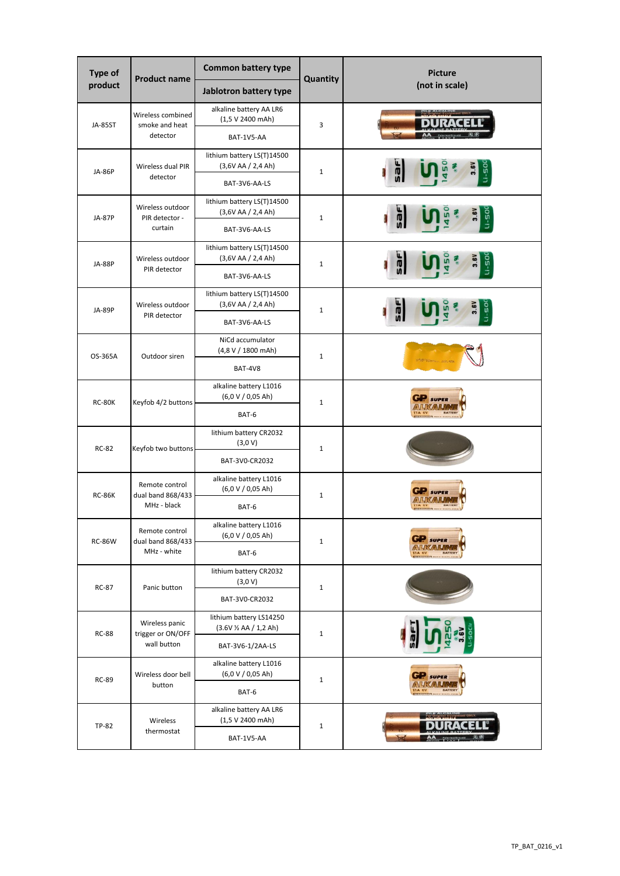| Type of        | <b>Product name</b>                                | <b>Common battery type</b>                                            | Quantity     | <b>Picture</b><br>(not in scale) |
|----------------|----------------------------------------------------|-----------------------------------------------------------------------|--------------|----------------------------------|
| product        |                                                    | Jablotron battery type                                                |              |                                  |
| <b>JA-85ST</b> | Wireless combined<br>smoke and heat<br>detector    | alkaline battery AA LR6<br>(1,5 V 2400 mAh)<br>BAT-1V5-AA             | 3            |                                  |
| <b>JA-86P</b>  | Wireless dual PIR<br>detector                      | lithium battery LS(T)14500<br>(3,6VAA / 2,4Ah)                        | $\mathbf{1}$ | °                                |
|                | Wireless outdoor                                   | BAT-3V6-AA-LS<br>lithium battery LS(T)14500                           |              |                                  |
| <b>JA-87P</b>  | PIR detector -<br>curtain                          | (3,6VAA / 2,4Ah)<br>BAT-3V6-AA-LS                                     | $1\,$        | $1 - 50$                         |
| <b>JA-88P</b>  | Wireless outdoor<br>PIR detector                   | lithium battery LS(T)14500<br>(3,6VAA / 2,4Ah)<br>BAT-3V6-AA-LS       | $\mathbf{1}$ | u-so                             |
| <b>JA-89P</b>  | Wireless outdoor                                   | lithium battery LS(T)14500<br>(3,6VAA / 2,4Ah)                        | $\mathbf 1$  |                                  |
|                | PIR detector                                       | BAT-3V6-AA-LS                                                         |              |                                  |
| OS-365A        | Outdoor siren                                      | NiCd accumulator<br>(4,8 V / 1800 mAh)<br>BAT-4V8                     | $1\,$        |                                  |
| <b>RC-80K</b>  | Keyfob 4/2 buttons                                 | alkaline battery L1016<br>$(6,0 \vee 0,05 \text{ Ah})$<br>BAT-6       | $\mathbf{1}$ | <b>SUPP</b>                      |
| <b>RC-82</b>   | Keyfob two buttons                                 | lithium battery CR2032<br>(3,0 V)<br>BAT-3V0-CR2032                   | $1\,$        |                                  |
| <b>RC-86K</b>  | Remote control<br>dual band 868/433<br>MHz - black | alkaline battery L1016<br>$(6,0 \vee 0,05 \text{ Ah})$<br>BAT-6       | $\mathbf{1}$ | <b>SUPE</b>                      |
| <b>RC-86W</b>  | Remote control<br>dual band 868/433<br>MHz - white | alkaline battery L1016<br>$(6,0 \vee 0,05 \text{ Ah})$<br>BAT-6       | $\mathbf 1$  |                                  |
| <b>RC-87</b>   | Panic button                                       | lithium battery CR2032<br>(3,0 V)<br>BAT-3V0-CR2032                   | $1\,$        |                                  |
| <b>RC-88</b>   | Wireless panic<br>trigger or ON/OFF<br>wall button | lithium battery LS14250<br>(3.6V 1/2 AA / 1,2 Ah)<br>BAT-3V6-1/2AA-LS | $\mathbf 1$  |                                  |
| <b>RC-89</b>   | Wireless door bell<br>button                       | alkaline battery L1016<br>(6,0 V / 0,05 Ah)<br>BAT-6                  | $\mathbf 1$  | SUPER                            |
| <b>TP-82</b>   | Wireless<br>thermostat                             | alkaline battery AA LR6<br>(1,5 V 2400 mAh)<br>BAT-1V5-AA             | $\mathbf 1$  |                                  |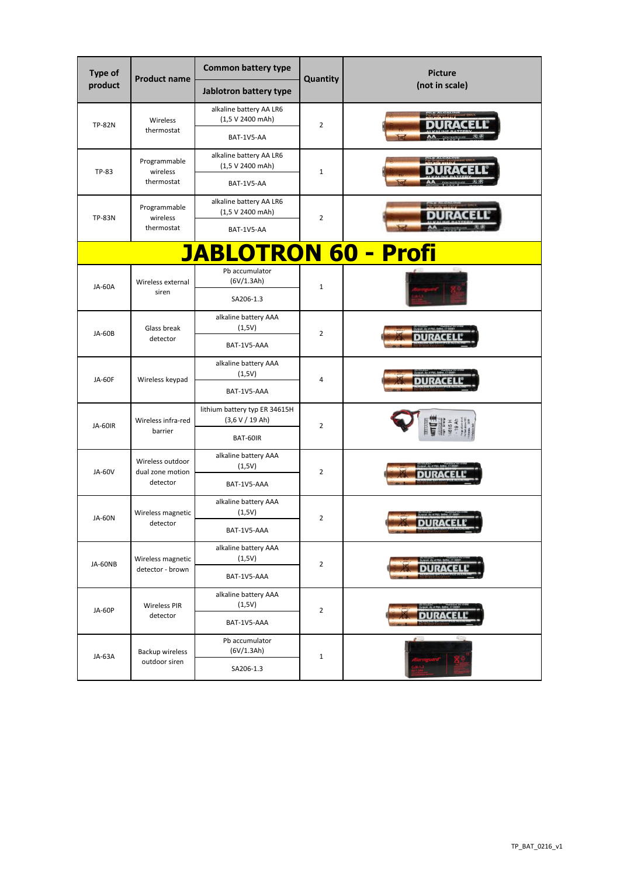| Type of       | <b>Product name</b>                  | <b>Common battery type</b>                       | Quantity       | <b>Picture</b> |
|---------------|--------------------------------------|--------------------------------------------------|----------------|----------------|
| product       |                                      | Jablotron battery type                           |                | (not in scale) |
| <b>TP-82N</b> | Wireless                             | alkaline battery AA LR6<br>(1,5 V 2400 mAh)      | $\overline{2}$ |                |
|               | thermostat                           | BAT-1V5-AA                                       |                |                |
| TP-83         | Programmable<br>wireless             | alkaline battery AA LR6<br>(1,5 V 2400 mAh)      | $1\,$          |                |
|               | thermostat                           | BAT-1V5-AA                                       |                |                |
| <b>TP-83N</b> | Programmable<br>wireless             | alkaline battery AA LR6<br>(1,5 V 2400 mAh)      | $\overline{2}$ |                |
|               | thermostat                           | BAT-1V5-AA                                       |                |                |
|               |                                      | <b>JABLOTRON 60 - Profi</b>                      |                |                |
| <b>JA-60A</b> | Wireless external                    | Pb accumulator<br>(6V/1.3Ah)                     | $\mathbf{1}$   |                |
|               | siren                                | SA206-1.3                                        |                |                |
| <b>JA-60B</b> | Glass break                          | alkaline battery AAA<br>(1,5V)                   | $\overline{2}$ |                |
|               | detector                             | BAT-1V5-AAA                                      |                |                |
| <b>JA-60F</b> | Wireless keypad                      | alkaline battery AAA<br>(1,5V)                   | $\overline{4}$ |                |
|               |                                      | BAT-1V5-AAA                                      |                |                |
| JA-60IR       | Wireless infra-red<br>barrier        | lithium battery typ ER 34615H<br>(3,6 V / 19 Ah) | $\overline{2}$ |                |
|               |                                      | BAT-60IR                                         |                |                |
| JA-60V        | Wireless outdoor<br>dual zone motion | alkaline battery AAA<br>(1,5V)                   | $\overline{2}$ |                |
|               | detector                             | BAT-1V5-AAA                                      |                |                |
| <b>JA-60N</b> | Wireless magnetic                    | alkaline battery AAA<br>(1,5V)                   | $\overline{2}$ |                |
|               | detector                             | BAT-1V5-AAA                                      |                |                |
| JA-60NB       | Wireless magnetic                    | alkaline battery AAA<br>(1,5V)                   | $\mathbf 2$    |                |
|               | detector - brown                     | BAT-1V5-AAA                                      |                | DURACE         |
| <b>JA-60P</b> | <b>Wireless PIR</b>                  | alkaline battery AAA<br>(1,5V)                   | $\mathbf 2$    |                |
|               | detector                             | BAT-1V5-AAA                                      |                |                |
| JA-63A        | <b>Backup wireless</b>               | Pb accumulator<br>(6V/1.3Ah)                     | $\mathbf 1$    |                |
|               | outdoor siren                        | SA206-1.3                                        |                |                |